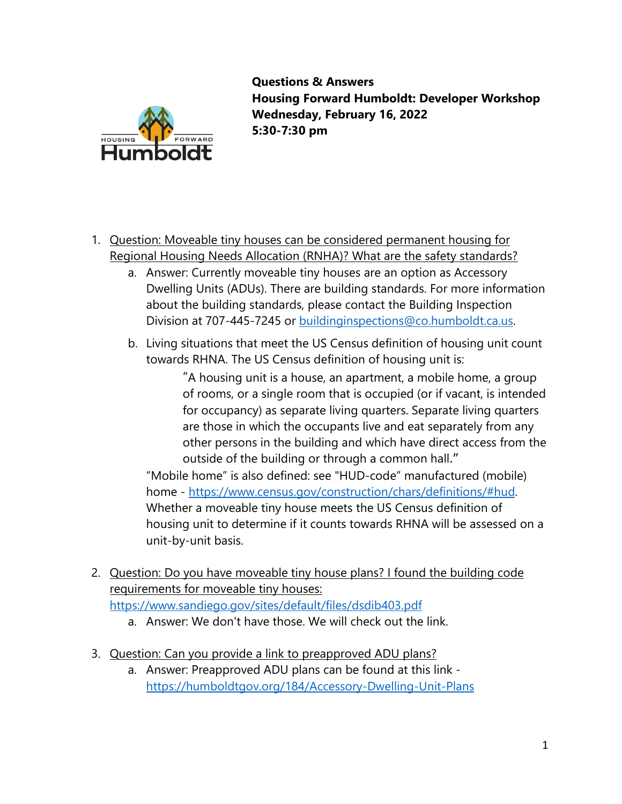

**Questions & Answers Housing Forward Humboldt: Developer Workshop Wednesday, February 16, 2022 5:30-7:30 pm**

- 1. Question: Moveable tiny houses can be considered permanent housing for Regional Housing Needs Allocation (RNHA)? What are the safety standards?
	- a. Answer: Currently moveable tiny houses are an option as Accessory Dwelling Units (ADUs). There are building standards. For more information about the building standards, please contact the Building Inspection Division at 707-445-7245 or [buildinginspections@co.humboldt.ca.us.](mailto:buildinginspections@co.humboldt.ca.us)
	- b. Living situations that meet the US Census definition of housing unit count towards RHNA. The US Census definition of housing unit is:

"A housing unit is a house, an apartment, a mobile home, a group of rooms, or a single room that is occupied (or if vacant, is intended for occupancy) as separate living quarters. Separate living quarters are those in which the occupants live and eat separately from any other persons in the building and which have direct access from the outside of the building or through a common hall."

"Mobile home" is also defined: see "HUD-code" manufactured (mobile) home - [https://www.census.gov/construction/chars/definitions/#hud.](https://www.census.gov/construction/chars/definitions/#hud) Whether a moveable tiny house meets the US Census definition of housing unit to determine if it counts towards RHNA will be assessed on a unit-by-unit basis.

- 2. Question: Do you have moveable tiny house plans? I found the building code requirements for moveable tiny houses: <https://www.sandiego.gov/sites/default/files/dsdib403.pdf>
	- a. Answer: We don't have those. We will check out the link.
- 3. Question: Can you provide a link to preapproved ADU plans?
	- a. Answer: Preapproved ADU plans can be found at this link <https://humboldtgov.org/184/Accessory-Dwelling-Unit-Plans>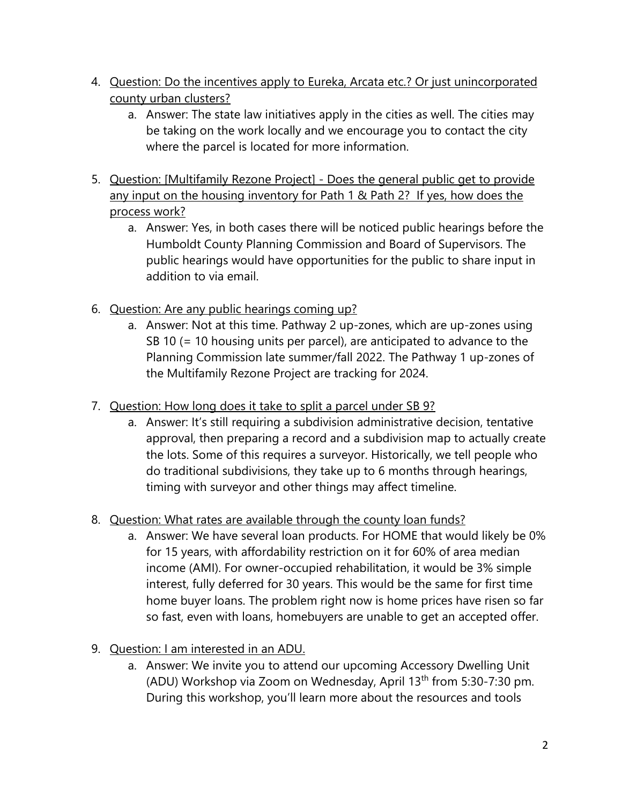- 4. Question: Do the incentives apply to Eureka, Arcata etc.? Or just unincorporated county urban clusters?
	- a. Answer: The state law initiatives apply in the cities as well. The cities may be taking on the work locally and we encourage you to contact the city where the parcel is located for more information.
- 5. Question: [Multifamily Rezone Project] Does the general public get to provide any input on the housing inventory for Path 1 & Path 2? If yes, how does the process work?
	- a. Answer: Yes, in both cases there will be noticed public hearings before the Humboldt County Planning Commission and Board of Supervisors. The public hearings would have opportunities for the public to share input in addition to via email.
- 6. Question: Are any public hearings coming up?
	- a. Answer: Not at this time. Pathway 2 up-zones, which are up-zones using SB 10 (= 10 housing units per parcel), are anticipated to advance to the Planning Commission late summer/fall 2022. The Pathway 1 up-zones of the Multifamily Rezone Project are tracking for 2024.
- 7. Question: How long does it take to split a parcel under SB 9?
	- a. Answer: It's still requiring a subdivision administrative decision, tentative approval, then preparing a record and a subdivision map to actually create the lots. Some of this requires a surveyor. Historically, we tell people who do traditional subdivisions, they take up to 6 months through hearings, timing with surveyor and other things may affect timeline.
- 8. Question: What rates are available through the county loan funds?
	- a. Answer: We have several loan products. For HOME that would likely be 0% for 15 years, with affordability restriction on it for 60% of area median income (AMI). For owner-occupied rehabilitation, it would be 3% simple interest, fully deferred for 30 years. This would be the same for first time home buyer loans. The problem right now is home prices have risen so far so fast, even with loans, homebuyers are unable to get an accepted offer.
- 9. Question: I am interested in an ADU.
	- a. Answer: We invite you to attend our upcoming Accessory Dwelling Unit (ADU) Workshop via Zoom on Wednesday, April 13<sup>th</sup> from 5:30-7:30 pm. During this workshop, you'll learn more about the resources and tools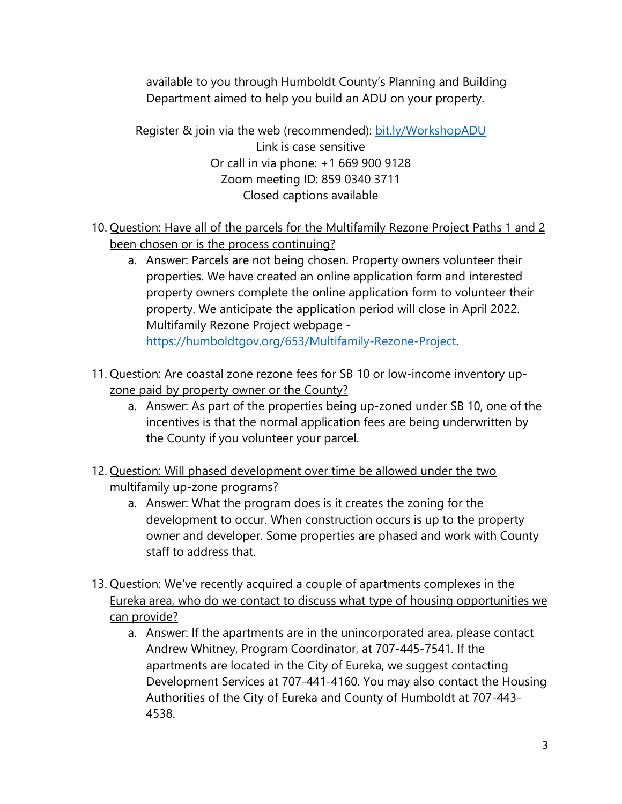available to you through Humboldt County's Planning and Building Department aimed to help you build an ADU on your property.

Register & join via the web (recommended): [bit.ly/WorkshopADU](https://bit.ly/WorkshopADU) Link is case sensitive Or call in via phone: +1 669 900 9128 Zoom meeting ID: 859 0340 3711 Closed captions available

- 10. Question: Have all of the parcels for the Multifamily Rezone Project Paths 1 and 2 been chosen or is the process continuing?
	- a. Answer: Parcels are not being chosen. Property owners volunteer their properties. We have created an online application form and interested property owners complete the online application form to volunteer their property. We anticipate the application period will close in April 2022. Multifamily Rezone Project webpage [https://humboldtgov.org/653/Multifamily-Rezone-Project.](https://humboldtgov.org/653/Multifamily-Rezone-Project)
- 11. Question: Are coastal zone rezone fees for SB 10 or low-income inventory upzone paid by property owner or the County?
	- a. Answer: As part of the properties being up-zoned under SB 10, one of the incentives is that the normal application fees are being underwritten by the County if you volunteer your parcel.
- 12. Question: Will phased development over time be allowed under the two multifamily up-zone programs?
	- a. Answer: What the program does is it creates the zoning for the development to occur. When construction occurs is up to the property owner and developer. Some properties are phased and work with County staff to address that.
- 13. Question: We've recently acquired a couple of apartments complexes in the Eureka area, who do we contact to discuss what type of housing opportunities we can provide?
	- a. Answer: If the apartments are in the unincorporated area, please contact Andrew Whitney, Program Coordinator, at 707-445-7541. If the apartments are located in the City of Eureka, we suggest contacting Development Services at 707-441-4160. You may also contact the Housing Authorities of the City of Eureka and County of Humboldt at 707-443- 4538.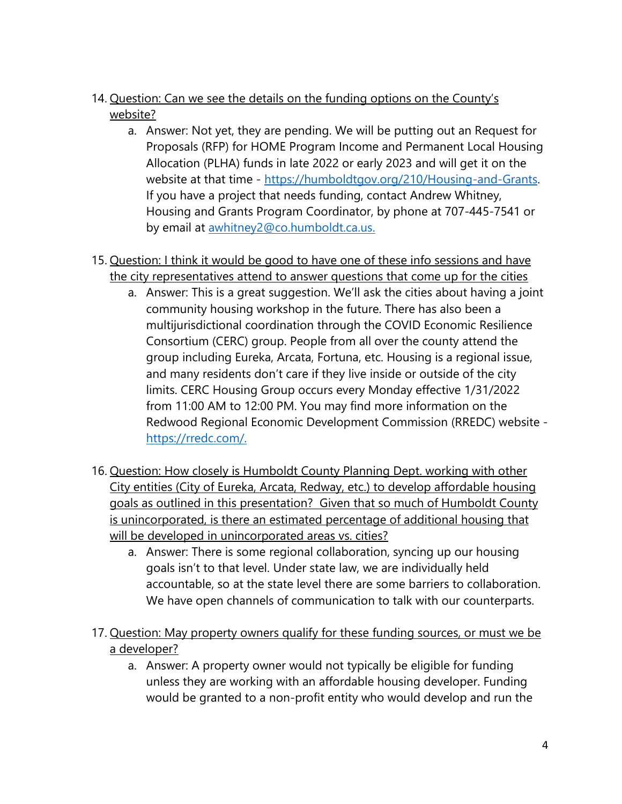- 14. Question: Can we see the details on the funding options on the County's website?
	- a. Answer: Not yet, they are pending. We will be putting out an Request for Proposals (RFP) for HOME Program Income and Permanent Local Housing Allocation (PLHA) funds in late 2022 or early 2023 and will get it on the website at that time - [https://humboldtgov.org/210/Housing-and-Grants.](https://humboldtgov.org/210/Housing-and-Grants) If you have a project that needs funding, contact Andrew Whitney, Housing and Grants Program Coordinator, by phone at 707-445-7541 or by email at [awhitney2@co.humboldt.ca.us.](mailto:awhitney2@co.humboldt.ca.us)
- 15. Question: I think it would be good to have one of these info sessions and have the city representatives attend to answer questions that come up for the cities
	- a. Answer: This is a great suggestion. We'll ask the cities about having a joint community housing workshop in the future. There has also been a multijurisdictional coordination through the COVID Economic Resilience Consortium (CERC) group. People from all over the county attend the group including Eureka, Arcata, Fortuna, etc. Housing is a regional issue, and many residents don't care if they live inside or outside of the city limits. CERC Housing Group occurs every Monday effective 1/31/2022 from 11:00 AM to 12:00 PM. You may find more information on the Redwood Regional Economic Development Commission (RREDC) website [https://rredc.com/.](https://rredc.com/)
- 16. Question: How closely is Humboldt County Planning Dept. working with other City entities (City of Eureka, Arcata, Redway, etc.) to develop affordable housing goals as outlined in this presentation? Given that so much of Humboldt County is unincorporated, is there an estimated percentage of additional housing that will be developed in unincorporated areas vs. cities?
	- a. Answer: There is some regional collaboration, syncing up our housing goals isn't to that level. Under state law, we are individually held accountable, so at the state level there are some barriers to collaboration. We have open channels of communication to talk with our counterparts.
- 17. Question: May property owners qualify for these funding sources, or must we be a developer?
	- a. Answer: A property owner would not typically be eligible for funding unless they are working with an affordable housing developer. Funding would be granted to a non-profit entity who would develop and run the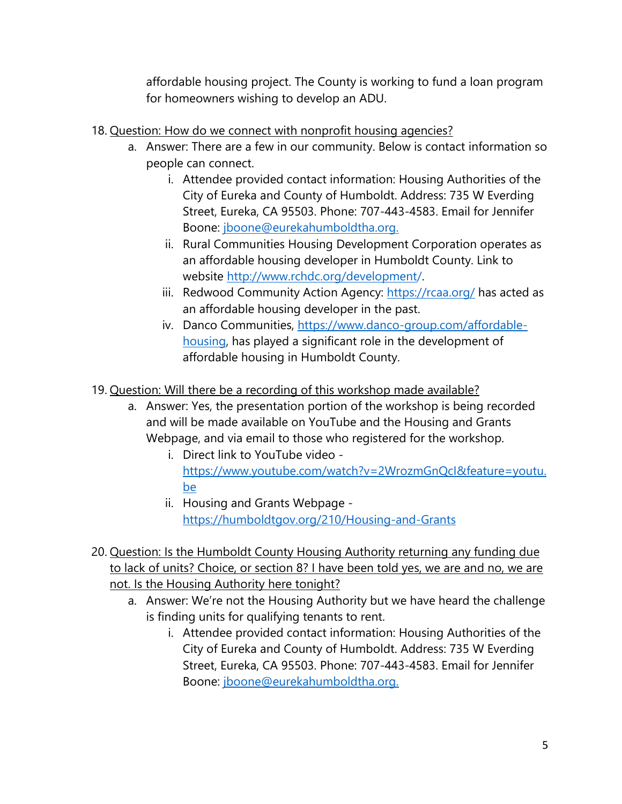affordable housing project. The County is working to fund a loan program for homeowners wishing to develop an ADU.

- 18. Question: How do we connect with nonprofit housing agencies?
	- a. Answer: There are a few in our community. Below is contact information so people can connect.
		- i. Attendee provided contact information: Housing Authorities of the City of Eureka and County of Humboldt. Address: 735 W Everding Street, Eureka, CA 95503. Phone: 707-443-4583. Email for Jennifer Boone: [jboone@eurekahumboldtha.org.](mailto:jboone@eurekahumboldtha.org)
		- ii. Rural Communities Housing Development Corporation operates as an affordable housing developer in Humboldt County. Link to website [http://www.rchdc.org/development/.](http://www.rchdc.org/development/)
		- iii. Redwood Community Action Agency:<https://rcaa.org/> has acted as an affordable housing developer in the past.
		- iv. Danco Communities, [https://www.danco-group.com/affordable](https://www.danco-group.com/affordable-housing)[housing,](https://www.danco-group.com/affordable-housing) has played a significant role in the development of affordable housing in Humboldt County.
- 19. Question: Will there be a recording of this workshop made available?
	- a. Answer: Yes, the presentation portion of the workshop is being recorded and will be made available on YouTube and the Housing and Grants Webpage, and via email to those who registered for the workshop.
		- i. Direct link to YouTube video [https://www.youtube.com/watch?v=2WrozmGnQcI&feature=youtu.](https://www.youtube.com/watch?v=2WrozmGnQcI&feature=youtu.be) [be](https://www.youtube.com/watch?v=2WrozmGnQcI&feature=youtu.be)
		- ii. Housing and Grants Webpage <https://humboldtgov.org/210/Housing-and-Grants>
- 20. Question: Is the Humboldt County Housing Authority returning any funding due to lack of units? Choice, or section 8? I have been told yes, we are and no, we are not. Is the Housing Authority here tonight?
	- a. Answer: We're not the Housing Authority but we have heard the challenge is finding units for qualifying tenants to rent.
		- i. Attendee provided contact information: Housing Authorities of the City of Eureka and County of Humboldt. Address: 735 W Everding Street, Eureka, CA 95503. Phone: 707-443-4583. Email for Jennifer Boone: [jboone@eurekahumboldtha.org.](mailto:jboone@eurekahumboldtha.org)